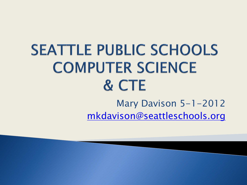### **SEATTLE PUBLIC SCHOOLS COMPUTER SCIENCE** & CTE Mary Davison 5-1-2012 [mkdavison@seattleschools.org](mailto:mkdavison@seattleschools.org)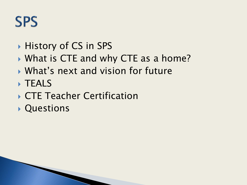### **SPS**

- History of CS in SPS
- ▶ What is CTE and why CTE as a home?
- What's next and vision for future
- **TEALS**
- ▶ CTE Teacher Certification
- Questions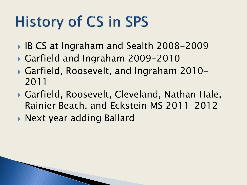# **History of CS in SPS**

- IB CS at Ingraham and Sealth 2008-2009
- Garfield and Ingraham 2009-2010
- Garfield, Roosevelt, and Ingraham 2010- 2011
- Garfield, Roosevelt, Cleveland, Nathan Hale, Rainier Beach, and Eckstein MS 2011-2012
- ▶ Next year adding Ballard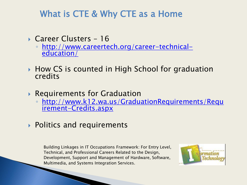#### What is CTE & Why CTE as a Home

- ▶ Career Clusters 16
	- [http://www.careertech.org/career-technical](http://www.careertech.org/career-technical-education/)[education/](http://www.careertech.org/career-technical-education/)
- ▶ How CS is counted in High School for graduation credits
- Requirements for Graduation
	- [http://www.k12.wa.us/GraduationRequirements/Requ](http://www.k12.wa.us/GraduationRequirements/Requirement-Credits.aspx) [irement-Credits.aspx](http://www.k12.wa.us/GraduationRequirements/Requirement-Credits.aspx)
- ▶ Politics and requirements

Building Linkages in IT Occupations Framework: For Entry Level, Technical, and Professional Careers Related to the Design, Development, Support and Management of Hardware, Software, Multimedia, and Systems Integration Services.

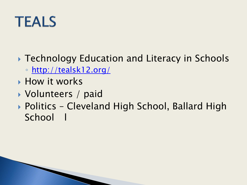

- ▶ Technology Education and Literacy in Schools
	- <http://tealsk12.org/>
- **How it works**
- ▶ Volunteers / paid
- ▶ Politics Cleveland High School, Ballard High School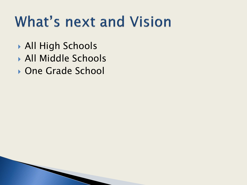## **What's next and Vision**

- All High Schools
- All Middle Schools
- ▶ One Grade School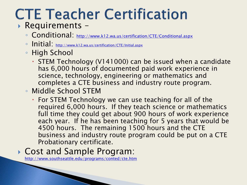# **CTE Teacher Certification**

#### Requirements –

- Conditional: <http://www.k12.wa.us/certification/CTE/Conditional.aspx>
- Initial: <http://www.k12.wa.us/certification/CTE/Initial.aspx>
- High School
	- STEM Technology (V141000) can be issued when a candidate has 6,000 hours of documented paid work experience in science, technology, engineering or mathematics and completes a CTE business and industry route program.
- Middle School STEM
	- For STEM Technology we can use teaching for all of the required 6,000 hours. If they teach science or mathematics full time they could get about 900 hours of work experience each year. If he has been teaching for 5 years that would be 4500 hours. The remaining 1500 hours and the CTE business and industry route program could be put on a CTE Probationary certificate.

#### Cost and Sample Program:

**The Company of Company** 

<http://www.southseattle.edu/programs/conted/cte.htm>